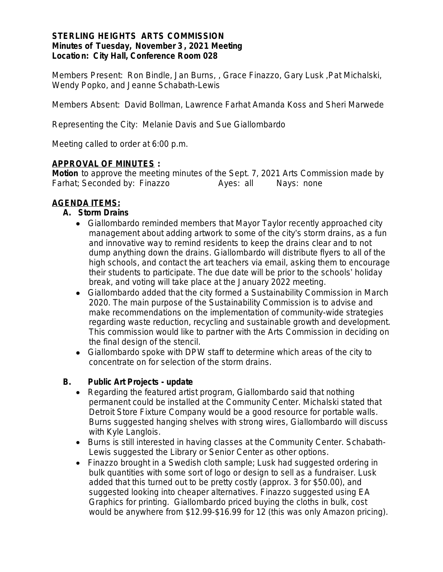#### **STERLING HEIGHTS ARTS COMMISSION Minutes of Tuesday, November 3 , 2021 Meeting Location: City Hall, Conference Room 028**

*Members Present:* Ron Bindle, Jan Burns, , Grace Finazzo, Gary Lusk ,Pat Michalski, Wendy Popko, and Jeanne Schabath-Lewis

*Members Absent*: David Bollman, Lawrence Farhat Amanda Koss and Sheri Marwede

*Representing the City*: Melanie Davis and Sue Giallombardo

Meeting called to order at 6:00 p.m.

#### **APPROVAL OF MINUTES :**

*Motion* to approve the meeting minutes of the Sept. 7, 2021 Arts Commission made by Farhat; Seconded by: Finazzo Ayes: all Nays: none

### **AGENDA ITEMS:**

#### **A. Storm Drains**

- Giallombardo reminded members that Mayor Taylor recently approached city management about adding artwork to some of the city's storm drains, as a fun and innovative way to remind residents to keep the drains clear and to not dump anything down the drains. Giallombardo will distribute flyers to all of the high schools, and contact the art teachers via email, asking them to encourage their students to participate. The due date will be prior to the schools' holiday break, and voting will take place at the January 2022 meeting.
- Giallombardo added that the city formed a Sustainability Commission in March 2020. The main purpose of the Sustainability Commission is to advise and make recommendations on the implementation of community-wide strategies regarding waste reduction, recycling and sustainable growth and development. This commission would like to partner with the Arts Commission in deciding on the final design of the stencil.
- Giallombardo spoke with DPW staff to determine which areas of the city to concentrate on for selection of the storm drains.

#### **B. Public Art Projects - update**

- Regarding the featured artist program, Giallombardo said that nothing permanent could be installed at the Community Center. Michalski stated that Detroit Store Fixture Company would be a good resource for portable walls. Burns suggested hanging shelves with strong wires, Giallombardo will discuss with Kyle Langlois.
- Burns is still interested in having classes at the Community Center. Schabath-Lewis suggested the Library or Senior Center as other options.
- Finazzo brought in a Swedish cloth sample; Lusk had suggested ordering in bulk quantities with some sort of logo or design to sell as a fundraiser. Lusk added that this turned out to be pretty costly (approx. 3 for \$50.00), and suggested looking into cheaper alternatives. Finazzo suggested using EA Graphics for printing. Giallombardo priced buying the cloths in bulk, cost would be anywhere from \$12.99-\$16.99 for 12 (this was only Amazon pricing).